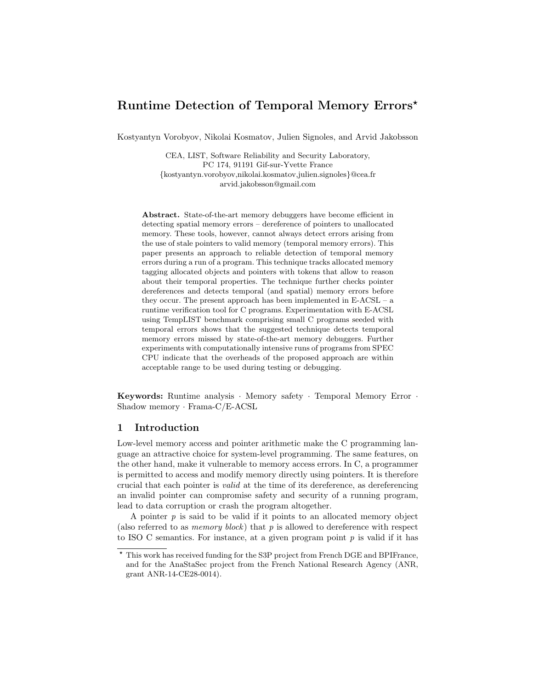# Runtime Detection of Temporal Memory Errors\*

Kostyantyn Vorobyov, Nikolai Kosmatov, Julien Signoles, and Arvid Jakobsson

CEA, LIST, Software Reliability and Security Laboratory, PC 174, 91191 Gif-sur-Yvette France {kostyantyn.vorobyov,nikolai.kosmatov,julien.signoles}@cea.fr arvid.jakobsson@gmail.com

Abstract. State-of-the-art memory debuggers have become efficient in detecting spatial memory errors – dereference of pointers to unallocated memory. These tools, however, cannot always detect errors arising from the use of stale pointers to valid memory (temporal memory errors). This paper presents an approach to reliable detection of temporal memory errors during a run of a program. This technique tracks allocated memory tagging allocated objects and pointers with tokens that allow to reason about their temporal properties. The technique further checks pointer dereferences and detects temporal (and spatial) memory errors before they occur. The present approach has been implemented in E-ACSL – a runtime verification tool for C programs. Experimentation with E-ACSL using TempLIST benchmark comprising small C programs seeded with temporal errors shows that the suggested technique detects temporal memory errors missed by state-of-the-art memory debuggers. Further experiments with computationally intensive runs of programs from SPEC CPU indicate that the overheads of the proposed approach are within acceptable range to be used during testing or debugging.

Keywords: Runtime analysis · Memory safety · Temporal Memory Error · Shadow memory · Frama-C/E-ACSL

# <span id="page-0-0"></span>1 Introduction

Low-level memory access and pointer arithmetic make the C programming language an attractive choice for system-level programming. The same features, on the other hand, make it vulnerable to memory access errors. In C, a programmer is permitted to access and modify memory directly using pointers. It is therefore crucial that each pointer is valid at the time of its dereference, as dereferencing an invalid pointer can compromise safety and security of a running program, lead to data corruption or crash the program altogether.

A pointer  $p$  is said to be valid if it points to an allocated memory object (also referred to as *memory block*) that  $p$  is allowed to dereference with respect to ISO C semantics. For instance, at a given program point  $p$  is valid if it has

<sup>?</sup> This work has received funding for the S3P project from French DGE and BPIFrance, and for the AnaStaSec project from the French National Research Agency (ANR, grant ANR-14-CE28-0014).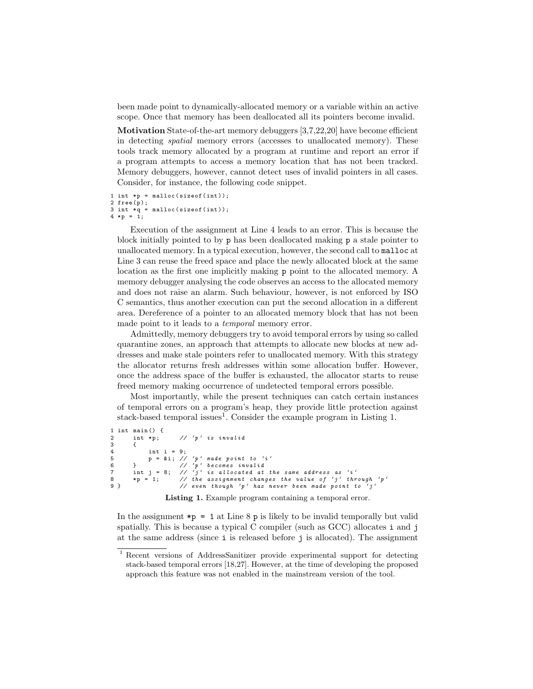been made point to dynamically-allocated memory or a variable within an active scope. Once that memory has been deallocated all its pointers become invalid.

Motivation State-of-the-art memory debuggers [\[3](#page-15-0)[,7,](#page-15-1)[22,](#page-16-0)[20\]](#page-16-1) have become efficient in detecting spatial memory errors (accesses to unallocated memory). These tools track memory allocated by a program at runtime and report an error if a program attempts to access a memory location that has not been tracked. Memory debuggers, however, cannot detect uses of invalid pointers in all cases. Consider, for instance, the following code snippet.

```
1 int *p = \text{malloc}(sizeof(int));2 free(p);<br>3 int *q = malloc(sizeof(int));
4 * p = 1;
```
<span id="page-1-0"></span>Execution of the assignment at Line [4](#page-1-0) leads to an error. This is because the block initially pointed to by p has been deallocated making p a stale pointer to unallocated memory. In a typical execution, however, the second call to malloc at Line [3](#page-1-1) can reuse the freed space and place the newly allocated block at the same location as the first one implicitly making p point to the allocated memory. A memory debugger analysing the code observes an access to the allocated memory and does not raise an alarm. Such behaviour, however, is not enforced by ISO C semantics, thus another execution can put the second allocation in a different area. Dereference of a pointer to an allocated memory block that has not been made point to it leads to a *temporal* memory error.

Admittedly, memory debuggers try to avoid temporal errors by using so called quarantine zones, an approach that attempts to allocate new blocks at new addresses and make stale pointers refer to unallocated memory. With this strategy the allocator returns fresh addresses within some allocation buffer. However, once the address space of the buffer is exhausted, the allocator starts to reuse freed memory making occurrence of undetected temporal errors possible.

Most importantly, while the present techniques can catch certain instances of temporal errors on a program's heap, they provide little protection against stack-based temporal issues<sup>[1](#page-1-2)</sup>. Consider the example program in Listing [1.](#page-1-3)

```
1 int main () {
2 int *p; // 'p' is invalid
         \overline{1}4 int i = 9;<br>5 p = k i ; //5 p = &i ; // 'p ' made point to 'i '
6 } // 'p ' becomes invalid
7 int j = 8; // 'j ' is allocated at the same address as 'i '
8 *p = 1; // the assignment changes the value of 'j ' through 'p '
9 } // even though 'p ' has never been made point to 'j '
```
Listing 1. Example program containing a temporal error.

<span id="page-1-4"></span>In the assignment  $\ast p = 1$  at Line [8](#page-1-4) p is likely to be invalid temporally but valid spatially. This is because a typical C compiler (such as GCC) allocates i and j at the same address (since i is released before j is allocated). The assignment

<span id="page-1-2"></span><sup>1</sup> Recent versions of AddressSanitizer provide experimental support for detecting stack-based temporal errors [\[18](#page-16-2)[,27\]](#page-16-3). However, at the time of developing the proposed approach this feature was not enabled in the mainstream version of the tool.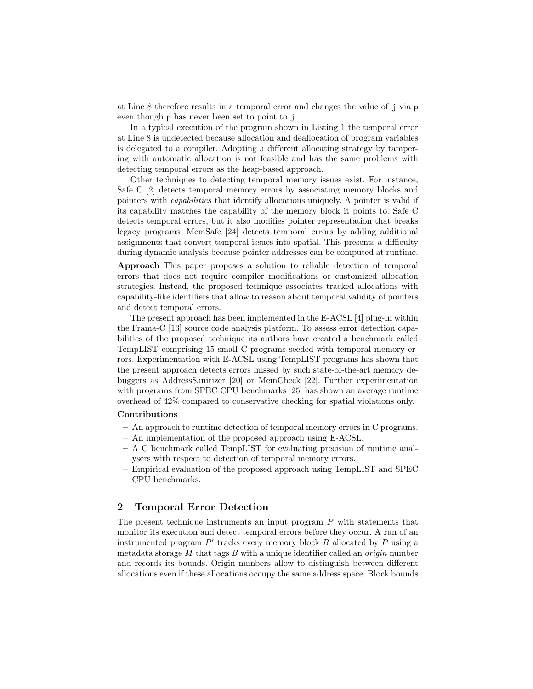at Line [8](#page-1-4) therefore results in a temporal error and changes the value of j via p even though p has never been set to point to j.

In a typical execution of the program shown in Listing [1](#page-1-3) the temporal error at Line [8](#page-1-4) is undetected because allocation and deallocation of program variables is delegated to a compiler. Adopting a different allocating strategy by tampering with automatic allocation is not feasible and has the same problems with detecting temporal errors as the heap-based approach.

Other techniques to detecting temporal memory issues exist. For instance, Safe C [\[2\]](#page-15-2) detects temporal memory errors by associating memory blocks and pointers with capabilities that identify allocations uniquely. A pointer is valid if its capability matches the capability of the memory block it points to. Safe C detects temporal errors, but it also modifies pointer representation that breaks legacy programs. MemSafe [\[24\]](#page-16-4) detects temporal errors by adding additional assignments that convert temporal issues into spatial. This presents a difficulty during dynamic analysis because pointer addresses can be computed at runtime.

Approach This paper proposes a solution to reliable detection of temporal errors that does not require compiler modifications or customized allocation strategies. Instead, the proposed technique associates tracked allocations with capability-like identifiers that allow to reason about temporal validity of pointers and detect temporal errors.

The present approach has been implemented in the E-ACSL [\[4\]](#page-15-3) plug-in within the Frama-C [\[13\]](#page-15-4) source code analysis platform. To assess error detection capabilities of the proposed technique its authors have created a benchmark called TempLIST comprising 15 small C programs seeded with temporal memory errors. Experimentation with E-ACSL using TempLIST programs has shown that the present approach detects errors missed by such state-of-the-art memory debuggers as AddressSanitizer [\[20\]](#page-16-1) or MemCheck [\[22\]](#page-16-0). Further experimentation with programs from SPEC CPU benchmarks [\[25\]](#page-16-5) has shown an average runtime overhead of 42% compared to conservative checking for spatial violations only.

# Contributions

- An approach to runtime detection of temporal memory errors in C programs.
- An implementation of the proposed approach using E-ACSL.
- A C benchmark called TempLIST for evaluating precision of runtime analysers with respect to detection of temporal memory errors.
- Empirical evaluation of the proposed approach using TempLIST and SPEC CPU benchmarks.

# <span id="page-2-0"></span>2 Temporal Error Detection

The present technique instruments an input program  $P$  with statements that monitor its execution and detect temporal errors before they occur. A run of an instrumented program  $P'$  tracks every memory block  $B$  allocated by  $P$  using a metadata storage M that tags B with a unique identifier called an *origin* number and records its bounds. Origin numbers allow to distinguish between different allocations even if these allocations occupy the same address space. Block bounds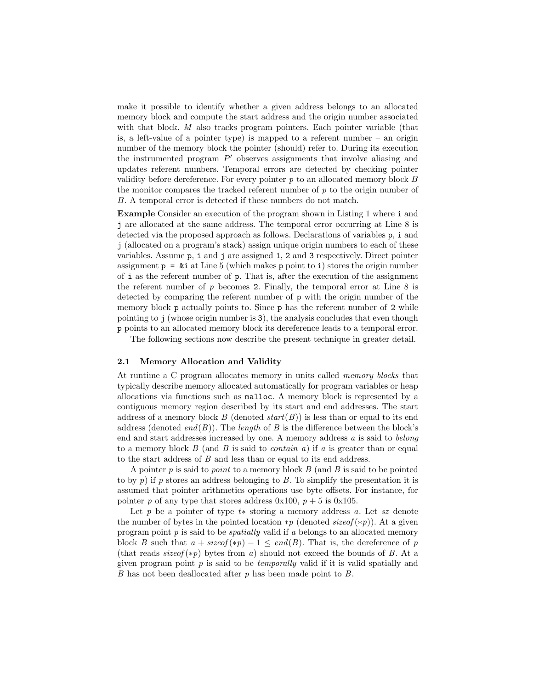make it possible to identify whether a given address belongs to an allocated memory block and compute the start address and the origin number associated with that block. M also tracks program pointers. Each pointer variable (that is, a left-value of a pointer type) is mapped to a referent number – an origin number of the memory block the pointer (should) refer to. During its execution the instrumented program  $P'$  observes assignments that involve aliasing and updates referent numbers. Temporal errors are detected by checking pointer validity before dereference. For every pointer  $p$  to an allocated memory block  $B$ the monitor compares the tracked referent number of  $p$  to the origin number of B. A temporal error is detected if these numbers do not match.

Example Consider an execution of the program shown in Listing [1](#page-1-3) where i and j are allocated at the same address. The temporal error occurring at Line [8](#page-1-4) is detected via the proposed approach as follows. Declarations of variables p, i and j (allocated on a program's stack) assign unique origin numbers to each of these variables. Assume p, i and j are assigned 1, 2 and 3 respectively. Direct pointer assignment  $p = \&i$  at Line [5](#page-1-5) (which makes p point to i) stores the origin number of i as the referent number of p. That is, after the execution of the assignment the referent number of  $p$  becomes 2. Finally, the temporal error at Line [8](#page-1-4) is detected by comparing the referent number of p with the origin number of the memory block p actually points to. Since p has the referent number of 2 while pointing to j (whose origin number is 3), the analysis concludes that even though p points to an allocated memory block its dereference leads to a temporal error.

The following sections now describe the present technique in greater detail.

#### 2.1 Memory Allocation and Validity

At runtime a C program allocates memory in units called memory blocks that typically describe memory allocated automatically for program variables or heap allocations via functions such as malloc. A memory block is represented by a contiguous memory region described by its start and end addresses. The start address of a memory block B (denoted  $start(B)$ ) is less than or equal to its end address (denoted  $end(B)$ ). The length of B is the difference between the block's end and start addresses increased by one. A memory address a is said to belong to a memory block  $B$  (and  $B$  is said to *contain a*) if  $a$  is greater than or equal to the start address of B and less than or equal to its end address.

A pointer  $p$  is said to *point* to a memory block  $B$  (and  $B$  is said to be pointed to by p) if p stores an address belonging to B. To simplify the presentation it is assumed that pointer arithmetics operations use byte offsets. For instance, for pointer p of any type that stores address  $0x100$ ,  $p + 5$  is  $0x105$ .

Let p be a pointer of type  $t*$  storing a memory address a. Let sz denote the number of bytes in the pointed location \*p (denoted sizeof(\*p)). At a given program point  $p$  is said to be *spatially* valid if  $a$  belongs to an allocated memory block B such that  $a + sizeof(*p) - 1 \leq end(B)$ . That is, the dereference of p (that reads size  $f(*p)$  bytes from a) should not exceed the bounds of B. At a given program point  $p$  is said to be *temporally* valid if it is valid spatially and B has not been deallocated after p has been made point to B.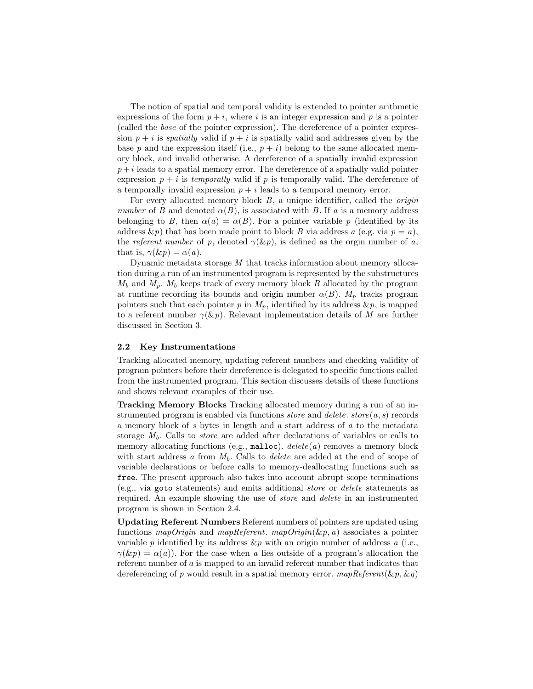The notion of spatial and temporal validity is extended to pointer arithmetic expressions of the form  $p + i$ , where i is an integer expression and p is a pointer (called the base of the pointer expression). The dereference of a pointer expression  $p + i$  is *spatially* valid if  $p + i$  is spatially valid and addresses given by the base p and the expression itself (i.e.,  $p + i$ ) belong to the same allocated memory block, and invalid otherwise. A dereference of a spatially invalid expression  $p + i$  leads to a spatial memory error. The dereference of a spatially valid pointer expression  $p + i$  is temporally valid if p is temporally valid. The dereference of a temporally invalid expression  $p + i$  leads to a temporal memory error.

For every allocated memory block  $B$ , a unique identifier, called the *origin* number of B and denoted  $\alpha(B)$ , is associated with B. If a is a memory address belonging to B, then  $\alpha(a) = \alpha(B)$ . For a pointer variable p (identified by its address  $\&p$ ) that has been made point to block B via address a (e.g. via  $p = a$ ), the referent number of p, denoted  $\gamma(\& p)$ , is defined as the orgin number of a, that is,  $\gamma(\& p) = \alpha(a)$ .

Dynamic metadata storage M that tracks information about memory allocation during a run of an instrumented program is represented by the substructures  $M_b$  and  $M_p$ .  $M_b$  keeps track of every memory block B allocated by the program at runtime recording its bounds and origin number  $\alpha(B)$ .  $M_p$  tracks program pointers such that each pointer p in  $M_p$ , identified by its address  $\&p$ , is mapped to a referent number  $\gamma(\&p)$ . Relevant implementation details of M are further discussed in Section [3.](#page-8-0)

#### 2.2 Key Instrumentations

Tracking allocated memory, updating referent numbers and checking validity of program pointers before their dereference is delegated to specific functions called from the instrumented program. This section discusses details of these functions and shows relevant examples of their use.

Tracking Memory Blocks Tracking allocated memory during a run of an instrumented program is enabled via functions *store* and *delete. store*( $a, s$ ) records a memory block of s bytes in length and a start address of a to the metadata storage  $M_b$ . Calls to *store* are added after declarations of variables or calls to memory allocating functions (e.g.,  $\text{malloc}$ ).  $delete(a)$  removes a memory block with start address a from  $M_h$ . Calls to *delete* are added at the end of scope of variable declarations or before calls to memory-deallocating functions such as free. The present approach also takes into account abrupt scope terminations (e.g., via goto statements) and emits additional store or delete statements as required. An example showing the use of store and delete in an instrumented program is shown in Section [2.4.](#page-7-0)

Updating Referent Numbers Referent numbers of pointers are updated using functions mapOrigin and mapReferent. mapOrigin( $\&p, a$ ) associates a pointer variable p identified by its address  $\&p$  with an origin number of address a (i.e.,  $\gamma(\& p) = \alpha(a)$ . For the case when a lies outside of a program's allocation the referent number of a is mapped to an invalid referent number that indicates that dereferencing of p would result in a spatial memory error.  $mapReferent(\&p, \&q)$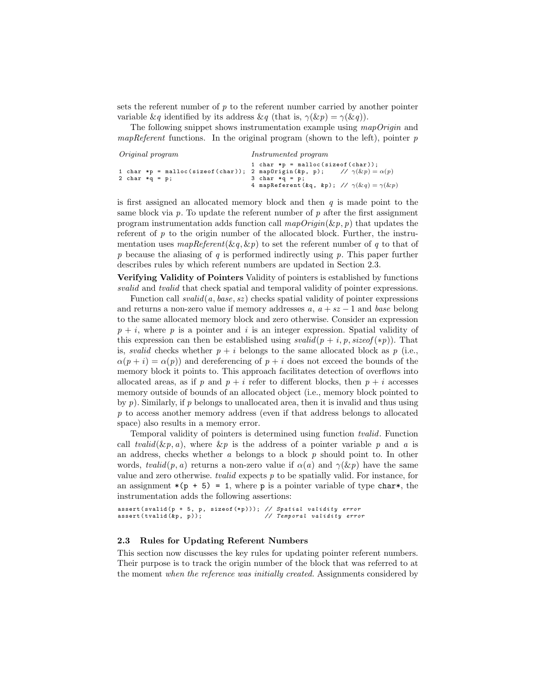sets the referent number of  $p$  to the referent number carried by another pointer variable  $\&q$  identified by its address  $\&q$  (that is,  $\gamma(\&p) = \gamma(\&q)$ ).

The following snippet shows instrumentation example using map Origin and  $mapReferent$  functions. In the original program (shown to the left), pointer  $p$ 

| Original program  | <i>Instrumented program</i>                                                                                                                                                                                               |
|-------------------|---------------------------------------------------------------------------------------------------------------------------------------------------------------------------------------------------------------------------|
| 2 char $*q = p$ ; | 1 char $*p = \text{malloc}(sizeof(char))$ ;<br>1 char *p = malloc(sizeof(char)); 2 mapOrigin(&p, p); // $\gamma(\& p) = \alpha(p)$<br>3 char $*q = p$ ;<br>4 mapReferent $(\& q, \& p);$ // $\gamma(\& q) = \gamma(\& p)$ |

is first assigned an allocated memory block and then  $q$  is made point to the same block via  $p$ . To update the referent number of  $p$  after the first assignment program instrumentation adds function call  $mapOrigin(\&p, p)$  that updates the referent of p to the origin number of the allocated block. Further, the instrumentation uses  $mapReferent(\&q, \&p)$  to set the referent number of q to that of p because the aliasing of q is performed indirectly using  $p$ . This paper further describes rules by which referent numbers are updated in Section [2.3.](#page-5-0)

Verifying Validity of Pointers Validity of pointers is established by functions svalid and tvalid that check spatial and temporal validity of pointer expressions.

Function call  $svalid(a, base, sz)$  checks spatial validity of pointer expressions and returns a non-zero value if memory addresses a,  $a + sz - 1$  and base belong to the same allocated memory block and zero otherwise. Consider an expression  $p + i$ , where p is a pointer and i is an integer expression. Spatial validity of this expression can then be established using  $svalid(p + i, p, sizeof(*p))$ . That is, svalid checks whether  $p + i$  belongs to the same allocated block as p (i.e.,  $\alpha(p+i) = \alpha(p)$  and dereferencing of  $p+i$  does not exceed the bounds of the memory block it points to. This approach facilitates detection of overflows into allocated areas, as if p and  $p + i$  refer to different blocks, then  $p + i$  accesses memory outside of bounds of an allocated object (i.e., memory block pointed to by  $p$ ). Similarly, if  $p$  belongs to unallocated area, then it is invalid and thus using p to access another memory address (even if that address belongs to allocated space) also results in a memory error.

Temporal validity of pointers is determined using function tvalid. Function call tvalid( $\&p, a$ ), where  $\&p$  is the address of a pointer variable p and a is an address, checks whether a belongs to a block  $p$  should point to. In other words, tvalid(p, a) returns a non-zero value if  $\alpha(a)$  and  $\gamma(\&p)$  have the same value and zero otherwise. tvalid expects  $p$  to be spatially valid. For instance, for an assignment  $*(p + 5) = 1$ , where p is a pointer variable of type char\*, the instrumentation adds the following assertions:

assert (svalid (p + 5, p, sizeof (\*p))); // Spatial validity error<br>assert (tvalid ( $k$ p, p)); // Temporal validity erro // Temporal validity error

#### <span id="page-5-0"></span>2.3 Rules for Updating Referent Numbers

This section now discusses the key rules for updating pointer referent numbers. Their purpose is to track the origin number of the block that was referred to at the moment when the reference was initially created. Assignments considered by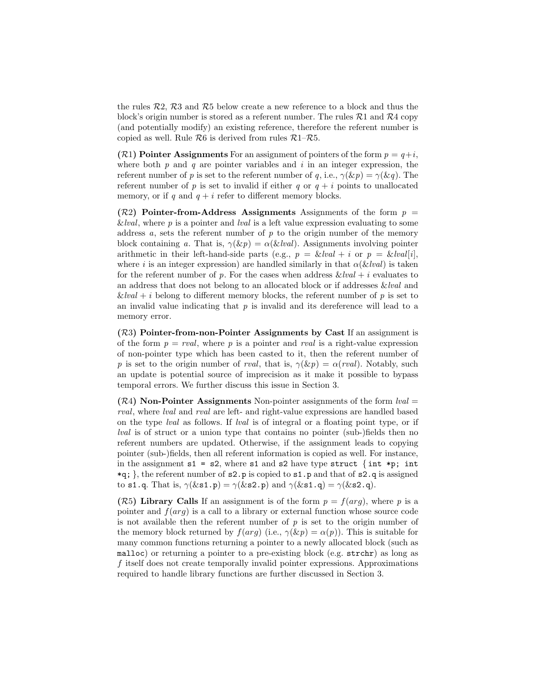the rules  $\mathcal{R}2$ ,  $\mathcal{R}3$  and  $\mathcal{R}5$  below create a new reference to a block and thus the block's origin number is stored as a referent number. The rules  $\mathcal{R}1$  and  $\mathcal{R}4$  copy (and potentially modify) an existing reference, therefore the referent number is copied as well. Rule  $R6$  is derived from rules  $R1-R5$ .

(R1) Pointer Assignments For an assignment of pointers of the form  $p = q+i$ , where both p and q are pointer variables and i in an integer expression, the referent number of p is set to the referent number of q, i.e.,  $\gamma(\&p) = \gamma(\&q)$ . The referent number of p is set to invalid if either q or  $q + i$  points to unallocated memory, or if  $q$  and  $q + i$  refer to different memory blocks.

 $(R2)$  Pointer-from-Address Assignments Assignments of the form  $p =$  $\&lval$ , where p is a pointer and *lval* is a left value expression evaluating to some address  $a$ , sets the referent number of  $p$  to the origin number of the memory block containing a. That is,  $\gamma(\&ledast p) = \alpha(\&lead)$ . Assignments involving pointer arithmetic in their left-hand-side parts (e.g.,  $p = \&lval + i$  or  $p = \&lval[i],$ where i is an integer expression) are handled similarly in that  $\alpha(klval)$  is taken for the referent number of p. For the cases when address  $\&lval + i$  evaluates to an address that does not belong to an allocated block or if addresses &lval and  $\&lval + i$  belong to different memory blocks, the referent number of p is set to an invalid value indicating that  $p$  is invalid and its dereference will lead to a memory error.

 $(R3)$  Pointer-from-non-Pointer Assignments by Cast If an assignment is of the form  $p = *rval*$ , where p is a pointer and *rval* is a right-value expression of non-pointer type which has been casted to it, then the referent number of p is set to the origin number of rval, that is,  $\gamma(\& p) = \alpha(rval)$ . Notably, such an update is potential source of imprecision as it make it possible to bypass temporal errors. We further discuss this issue in Section [3.](#page-8-0)

 $(R4)$  Non-Pointer Assignments Non-pointer assignments of the form  $lval =$ rval, where lval and rval are left- and right-value expressions are handled based on the type lval as follows. If lval is of integral or a floating point type, or if lval is of struct or a union type that contains no pointer (sub-)fields then no referent numbers are updated. Otherwise, if the assignment leads to copying pointer (sub-)fields, then all referent information is copied as well. For instance, in the assignment  $s1 = s2$ , where  $s1$  and  $s2$  have type struct {int \*p; int \*q; }, the referent number of s2.p is copied to s1.p and that of s2.q is assigned to s1.q. That is,  $\gamma(ks1.p) = \gamma(ks2.p)$  and  $\gamma(ks1.q) = \gamma(ks2.q)$ .

(R5) Library Calls If an assignment is of the form  $p = f(arg)$ , where p is a pointer and  $f(arg)$  is a call to a library or external function whose source code is not available then the referent number of  $p$  is set to the origin number of the memory block returned by  $f(arg)$  (i.e.,  $\gamma(\&p) = \alpha(p)$ ). This is suitable for many common functions returning a pointer to a newly allocated block (such as malloc) or returning a pointer to a pre-existing block (e.g. strchr) as long as f itself does not create temporally invalid pointer expressions. Approximations required to handle library functions are further discussed in Section [3.](#page-8-0)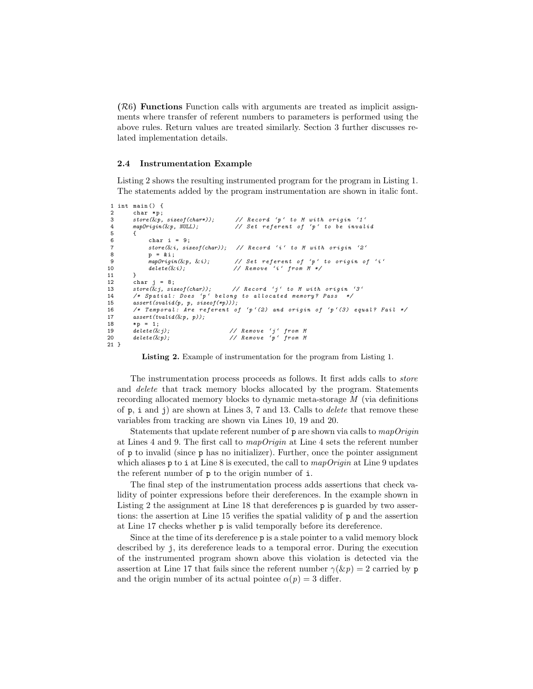$(R6)$  Functions Function calls with arguments are treated as implicit assignments where transfer of referent numbers to parameters is performed using the above rules. Return values are treated similarly. Section [3](#page-8-0) further discusses related implementation details.

#### <span id="page-7-0"></span>2.4 Instrumentation Example

Listing [2](#page-7-1) shows the resulting instrumented program for the program in Listing [1.](#page-1-3) The statements added by the program instrumentation are shown in italic font.

```
\begin{matrix} 1 & \text{int } \text{main}() \\ 2 & \text{char } *n \end{matrix}2 char *p;<br>3 store(\&p, \text{ sizeof}(\text{char}*));
 3 store(\& p, \text{ sizeof}(char))); // Record 'p' to M with origin '1'<br>4 mapOrigin(&p, NULL); // Set referent of 'p' to be inval
 4 mapOrigin(&p, NULL); // Set referent of 'p' to be invalid<br>5 {
           \overline{f}6 char i = 9;<br>7 store (k_i i) sig
 7 store(&i, sizeof(char)); // Record 'i' to M with origin '2'<br>8 p = &i;
 8 p = k i;<br>9 mapOrigin(kp, k i);
9 mapOrigin(&p, &i); // Set referent of 'p' to origin of 'i'<br>10 delete(&i); // Remove 'i' from M */
                                                      // Remove 'i' from M'*/\begin{array}{ccc} 11 & & \frac{1}{2} \\ 12 & & 6 \end{array}char j = 8;<br>store(\& j, sizeof(char));
13 store(\&j, sizeof(char)); // Record 'j' to M with origin '3'<br>14 /* Spatial: Does 'p' belong to allocated memory? Pass */
14 /* Spatial: Does 'p' belong to allocated memory? Pass */<br>15 assert(svalid(p. p. sizeof(*p)));
15 assert(svalid(p, p, sizeof(*p)));<br>16 /* Temporal: Are referent o
16 /* Temporal: Are referent of 'p'(2) and origin of 'p'(3) equal? Fail */<br>17 assert(tvalid(&p, p));
17 assert(tvalid(\&p, p));<br>18 *p = 1;
18 *p = 1;
19 delete(&j); // Remove 'j ' from M
20 delete(&p); // Remove 'p ' from M
21 }
```
<span id="page-7-13"></span><span id="page-7-12"></span><span id="page-7-11"></span><span id="page-7-7"></span><span id="page-7-6"></span><span id="page-7-4"></span>Listing 2. Example of instrumentation for the program from Listing [1.](#page-1-3)

The instrumentation process proceeds as follows. It first adds calls to store and *delete* that track memory blocks allocated by the program. Statements recording allocated memory blocks to dynamic meta-storage M (via definitions of p, i and j) are shown at Lines [3,](#page-7-2) [7](#page-7-3) and [13.](#page-7-4) Calls to delete that remove these variables from tracking are shown via Lines [10,](#page-7-5) [19](#page-7-6) and [20.](#page-7-7)

Statements that update referent number of  $p$  are shown via calls to  $mapOrigin$ at Lines [4](#page-7-8) and [9.](#page-7-9) The first call to  $mapOrigin$  at Line 4 sets the referent number of p to invalid (since p has no initializer). Further, once the pointer assignment which aliases  $p$  to i at Line [8](#page-7-10) is executed, the call to  $mapOrigin$  at Line [9](#page-7-9) updates the referent number of p to the origin number of i.

The final step of the instrumentation process adds assertions that check validity of pointer expressions before their dereferences. In the example shown in Listing [2](#page-7-1) the assignment at Line [18](#page-7-11) that dereferences p is guarded by two assertions: the assertion at Line [15](#page-7-12) verifies the spatial validity of p and the assertion at Line [17](#page-7-13) checks whether p is valid temporally before its dereference.

Since at the time of its dereference p is a stale pointer to a valid memory block described by j, its dereference leads to a temporal error. During the execution of the instrumented program shown above this violation is detected via the assertion at Line [17](#page-7-13) that fails since the referent number  $\gamma(\& p) = 2$  carried by p and the origin number of its actual pointee  $\alpha(p) = 3$  differ.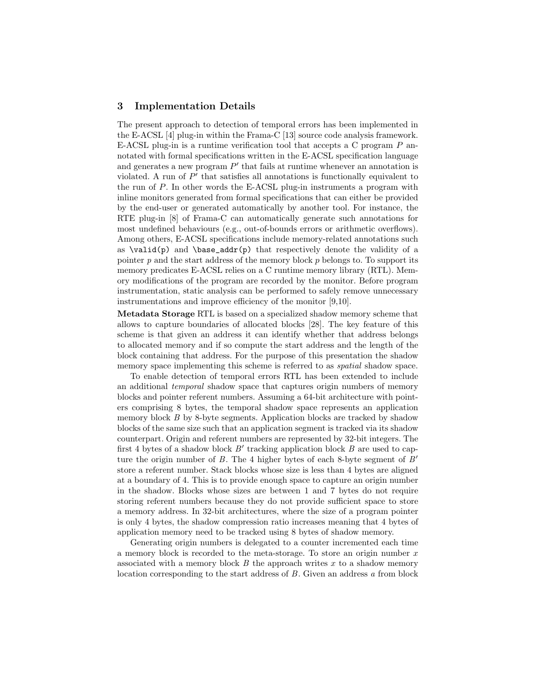### <span id="page-8-0"></span>3 Implementation Details

The present approach to detection of temporal errors has been implemented in the E-ACSL [\[4\]](#page-15-3) plug-in within the Frama-C [\[13\]](#page-15-4) source code analysis framework. E-ACSL plug-in is a runtime verification tool that accepts a C program P annotated with formal specifications written in the E-ACSL specification language and generates a new program  $P'$  that fails at runtime whenever an annotation is violated. A run of  $P'$  that satisfies all annotations is functionally equivalent to the run of P. In other words the E-ACSL plug-in instruments a program with inline monitors generated from formal specifications that can either be provided by the end-user or generated automatically by another tool. For instance, the RTE plug-in [\[8\]](#page-15-5) of Frama-C can automatically generate such annotations for most undefined behaviours (e.g., out-of-bounds errors or arithmetic overflows). Among others, E-ACSL specifications include memory-related annotations such as  $\valid(p)$  and  $\bas{\base{adr(p)}$  that respectively denote the validity of a pointer  $p$  and the start address of the memory block  $p$  belongs to. To support its memory predicates E-ACSL relies on a C runtime memory library (RTL). Memory modifications of the program are recorded by the monitor. Before program instrumentation, static analysis can be performed to safely remove unnecessary instrumentations and improve efficiency of the monitor [\[9,](#page-15-6)[10\]](#page-15-7).

Metadata Storage RTL is based on a specialized shadow memory scheme that allows to capture boundaries of allocated blocks [\[28\]](#page-16-6). The key feature of this scheme is that given an address it can identify whether that address belongs to allocated memory and if so compute the start address and the length of the block containing that address. For the purpose of this presentation the shadow memory space implementing this scheme is referred to as *spatial* shadow space.

To enable detection of temporal errors RTL has been extended to include an additional temporal shadow space that captures origin numbers of memory blocks and pointer referent numbers. Assuming a 64-bit architecture with pointers comprising 8 bytes, the temporal shadow space represents an application memory block B by 8-byte segments. Application blocks are tracked by shadow blocks of the same size such that an application segment is tracked via its shadow counterpart. Origin and referent numbers are represented by 32-bit integers. The first 4 bytes of a shadow block  $B'$  tracking application block  $B$  are used to capture the origin number of  $B$ . The 4 higher bytes of each 8-byte segment of  $B'$ store a referent number. Stack blocks whose size is less than 4 bytes are aligned at a boundary of 4. This is to provide enough space to capture an origin number in the shadow. Blocks whose sizes are between 1 and 7 bytes do not require storing referent numbers because they do not provide sufficient space to store a memory address. In 32-bit architectures, where the size of a program pointer is only 4 bytes, the shadow compression ratio increases meaning that 4 bytes of application memory need to be tracked using 8 bytes of shadow memory.

Generating origin numbers is delegated to a counter incremented each time a memory block is recorded to the meta-storage. To store an origin number x associated with a memory block  $B$  the approach writes  $x$  to a shadow memory location corresponding to the start address of B. Given an address a from block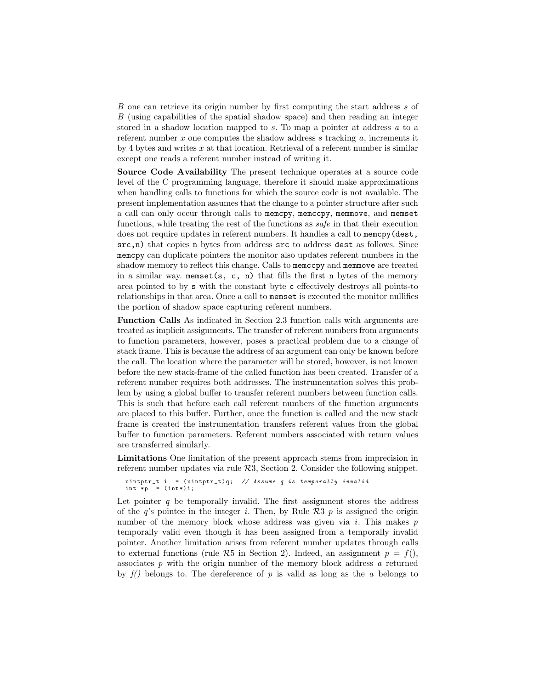B one can retrieve its origin number by first computing the start address s of B (using capabilities of the spatial shadow space) and then reading an integer stored in a shadow location mapped to s. To map a pointer at address a to a referent number x one computes the shadow address s tracking  $a$ , increments it by 4 bytes and writes  $x$  at that location. Retrieval of a referent number is similar except one reads a referent number instead of writing it.

Source Code Availability The present technique operates at a source code level of the C programming language, therefore it should make approximations when handling calls to functions for which the source code is not available. The present implementation assumes that the change to a pointer structure after such a call can only occur through calls to memcpy, memccpy, memmove, and memset functions, while treating the rest of the functions as safe in that their execution does not require updates in referent numbers. It handles a call to memcpy(dest, src,n) that copies n bytes from address src to address dest as follows. Since memcpy can duplicate pointers the monitor also updates referent numbers in the shadow memory to reflect this change. Calls to memccpy and memmove are treated in a similar way. memset(s, c, n) that fills the first n bytes of the memory area pointed to by s with the constant byte c effectively destroys all points-to relationships in that area. Once a call to memset is executed the monitor nullifies the portion of shadow space capturing referent numbers.

Function Calls As indicated in Section [2.3](#page-5-0) function calls with arguments are treated as implicit assignments. The transfer of referent numbers from arguments to function parameters, however, poses a practical problem due to a change of stack frame. This is because the address of an argument can only be known before the call. The location where the parameter will be stored, however, is not known before the new stack-frame of the called function has been created. Transfer of a referent number requires both addresses. The instrumentation solves this problem by using a global buffer to transfer referent numbers between function calls. This is such that before each call referent numbers of the function arguments are placed to this buffer. Further, once the function is called and the new stack frame is created the instrumentation transfers referent values from the global buffer to function parameters. Referent numbers associated with return values are transferred similarly.

Limitations One limitation of the present approach stems from imprecision in referent number updates via rule  $R3$ , Section [2.](#page-2-0) Consider the following snippet.

uintptr\_t i =  $(uintr_t)q$ ; // Assume q is temporally invalid  $int *p = (int*)i;$ 

Let pointer  $q$  be temporally invalid. The first assignment stores the address of the q's pointee in the integer i. Then, by Rule  $R3$  p is assigned the origin number of the memory block whose address was given via  $i$ . This makes  $p$ temporally valid even though it has been assigned from a temporally invalid pointer. Another limitation arises from referent number updates through calls to external functions (rule R5 in Section [2\)](#page-2-0). Indeed, an assignment  $p = f($ ), associates  $p$  with the origin number of the memory block address  $a$  returned by  $f()$  belongs to. The dereference of p is valid as long as the a belongs to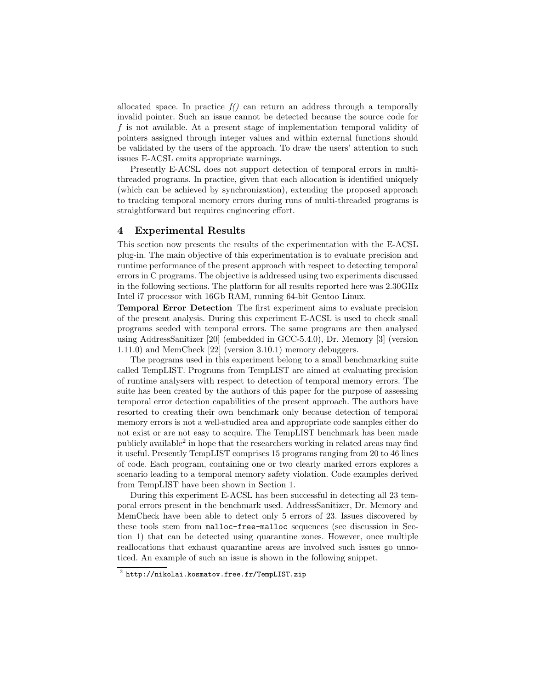allocated space. In practice  $f()$  can return an address through a temporally invalid pointer. Such an issue cannot be detected because the source code for f is not available. At a present stage of implementation temporal validity of pointers assigned through integer values and within external functions should be validated by the users of the approach. To draw the users' attention to such issues E-ACSL emits appropriate warnings.

Presently E-ACSL does not support detection of temporal errors in multithreaded programs. In practice, given that each allocation is identified uniquely (which can be achieved by synchronization), extending the proposed approach to tracking temporal memory errors during runs of multi-threaded programs is straightforward but requires engineering effort.

### 4 Experimental Results

This section now presents the results of the experimentation with the E-ACSL plug-in. The main objective of this experimentation is to evaluate precision and runtime performance of the present approach with respect to detecting temporal errors in C programs. The objective is addressed using two experiments discussed in the following sections. The platform for all results reported here was 2.30GHz Intel i7 processor with 16Gb RAM, running 64-bit Gentoo Linux.

Temporal Error Detection The first experiment aims to evaluate precision of the present analysis. During this experiment E-ACSL is used to check small programs seeded with temporal errors. The same programs are then analysed using AddressSanitizer [\[20\]](#page-16-1) (embedded in GCC-5.4.0), Dr. Memory [\[3\]](#page-15-0) (version 1.11.0) and MemCheck [\[22\]](#page-16-0) (version 3.10.1) memory debuggers.

The programs used in this experiment belong to a small benchmarking suite called TempLIST. Programs from TempLIST are aimed at evaluating precision of runtime analysers with respect to detection of temporal memory errors. The suite has been created by the authors of this paper for the purpose of assessing temporal error detection capabilities of the present approach. The authors have resorted to creating their own benchmark only because detection of temporal memory errors is not a well-studied area and appropriate code samples either do not exist or are not easy to acquire. The TempLIST benchmark has been made publicly available<sup>[2](#page-10-0)</sup> in hope that the researchers working in related areas may find it useful. Presently TempLIST comprises 15 programs ranging from 20 to 46 lines of code. Each program, containing one or two clearly marked errors explores a scenario leading to a temporal memory safety violation. Code examples derived from TempLIST have been shown in Section [1.](#page-0-0)

During this experiment E-ACSL has been successful in detecting all 23 temporal errors present in the benchmark used. AddressSanitizer, Dr. Memory and MemCheck have been able to detect only 5 errors of 23. Issues discovered by these tools stem from malloc-free-malloc sequences (see discussion in Section [1\)](#page-0-0) that can be detected using quarantine zones. However, once multiple reallocations that exhaust quarantine areas are involved such issues go unnoticed. An example of such an issue is shown in the following snippet.

<span id="page-10-0"></span> $^2$  <http://nikolai.kosmatov.free.fr/TempLIST.zip>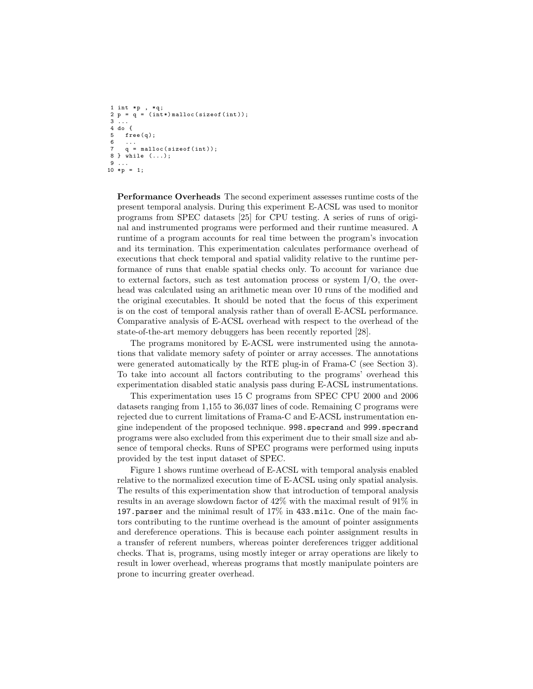```
1 int *p , * q;
2 p = q = ( int *) malloc ( sizeof ( int ));
3 \ldots4 do {
   free(q);rac{6}{7}q = malloc (sizeof (int));
8 } while (...);
9 ...
10 * p = 1;
```
Performance Overheads The second experiment assesses runtime costs of the present temporal analysis. During this experiment E-ACSL was used to monitor programs from SPEC datasets [\[25\]](#page-16-5) for CPU testing. A series of runs of original and instrumented programs were performed and their runtime measured. A runtime of a program accounts for real time between the program's invocation and its termination. This experimentation calculates performance overhead of executions that check temporal and spatial validity relative to the runtime performance of runs that enable spatial checks only. To account for variance due to external factors, such as test automation process or system  $I/O$ , the overhead was calculated using an arithmetic mean over 10 runs of the modified and the original executables. It should be noted that the focus of this experiment is on the cost of temporal analysis rather than of overall E-ACSL performance. Comparative analysis of E-ACSL overhead with respect to the overhead of the state-of-the-art memory debuggers has been recently reported [\[28\]](#page-16-6).

The programs monitored by E-ACSL were instrumented using the annotations that validate memory safety of pointer or array accesses. The annotations were generated automatically by the RTE plug-in of Frama-C (see Section [3\)](#page-8-0). To take into account all factors contributing to the programs' overhead this experimentation disabled static analysis pass during E-ACSL instrumentations.

This experimentation uses 15 C programs from SPEC CPU 2000 and 2006 datasets ranging from 1,155 to 36,037 lines of code. Remaining C programs were rejected due to current limitations of Frama-C and E-ACSL instrumentation engine independent of the proposed technique. 998.specrand and 999.specrand programs were also excluded from this experiment due to their small size and absence of temporal checks. Runs of SPEC programs were performed using inputs provided by the test input dataset of SPEC.

Figure [1](#page-12-0) shows runtime overhead of E-ACSL with temporal analysis enabled relative to the normalized execution time of E-ACSL using only spatial analysis. The results of this experimentation show that introduction of temporal analysis results in an average slowdown factor of 42% with the maximal result of 91% in 197.parser and the minimal result of 17% in 433.milc. One of the main factors contributing to the runtime overhead is the amount of pointer assignments and dereference operations. This is because each pointer assignment results in a transfer of referent numbers, whereas pointer dereferences trigger additional checks. That is, programs, using mostly integer or array operations are likely to result in lower overhead, whereas programs that mostly manipulate pointers are prone to incurring greater overhead.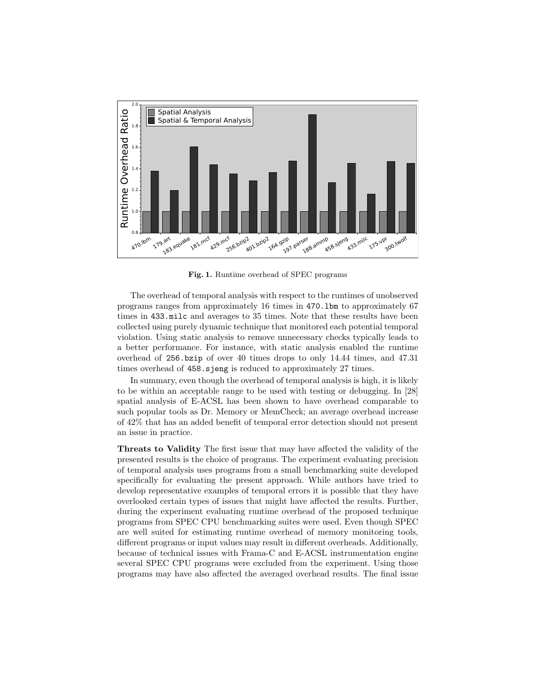

<span id="page-12-0"></span>Fig. 1. Runtime overhead of SPEC programs

The overhead of temporal analysis with respect to the runtimes of unobserved programs ranges from approximately 16 times in 470.lbm to approximately 67 times in 433.milc and averages to 35 times. Note that these results have been collected using purely dynamic technique that monitored each potential temporal violation. Using static analysis to remove unnecessary checks typically leads to a better performance. For instance, with static analysis enabled the runtime overhead of 256.bzip of over 40 times drops to only 14.44 times, and 47.31 times overhead of 458.sjeng is reduced to approximately 27 times.

In summary, even though the overhead of temporal analysis is high, it is likely to be within an acceptable range to be used with testing or debugging. In [\[28\]](#page-16-6) spatial analysis of E-ACSL has been shown to have overhead comparable to such popular tools as Dr. Memory or MemCheck; an average overhead increase of 42% that has an added benefit of temporal error detection should not present an issue in practice.

Threats to Validity The first issue that may have affected the validity of the presented results is the choice of programs. The experiment evaluating precision of temporal analysis uses programs from a small benchmarking suite developed specifically for evaluating the present approach. While authors have tried to develop representative examples of temporal errors it is possible that they have overlooked certain types of issues that might have affected the results. Further, during the experiment evaluating runtime overhead of the proposed technique programs from SPEC CPU benchmarking suites were used. Even though SPEC are well suited for estimating runtime overhead of memory monitoring tools, different programs or input values may result in different overheads. Additionally, because of technical issues with Frama-C and E-ACSL instrumentation engine several SPEC CPU programs were excluded from the experiment. Using those programs may have also affected the averaged overhead results. The final issue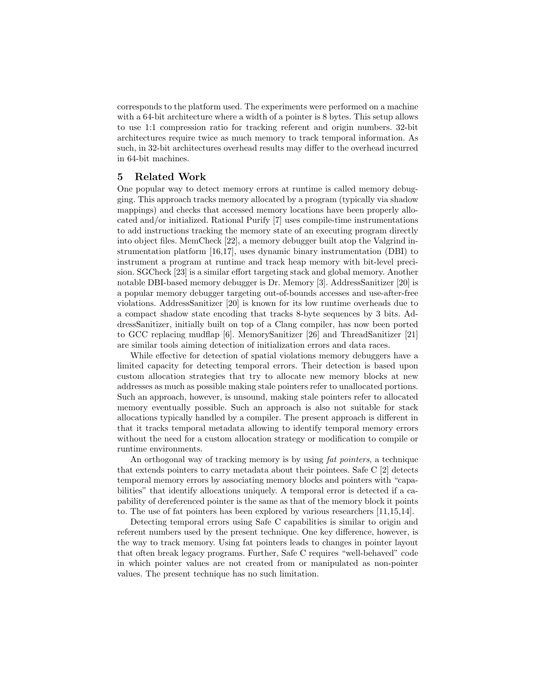corresponds to the platform used. The experiments were performed on a machine with a 64-bit architecture where a width of a pointer is 8 bytes. This setup allows to use 1:1 compression ratio for tracking referent and origin numbers. 32-bit architectures require twice as much memory to track temporal information. As such, in 32-bit architectures overhead results may differ to the overhead incurred in 64-bit machines.

## 5 Related Work

One popular way to detect memory errors at runtime is called memory debugging. This approach tracks memory allocated by a program (typically via shadow mappings) and checks that accessed memory locations have been properly allocated and/or initialized. Rational Purify [\[7\]](#page-15-1) uses compile-time instrumentations to add instructions tracking the memory state of an executing program directly into object files. MemCheck [\[22\]](#page-16-0), a memory debugger built atop the Valgrind instrumentation platform [\[16](#page-16-7)[,17\]](#page-16-8), uses dynamic binary instrumentation (DBI) to instrument a program at runtime and track heap memory with bit-level precision. SGCheck [\[23\]](#page-16-9) is a similar effort targeting stack and global memory. Another notable DBI-based memory debugger is Dr. Memory [\[3\]](#page-15-0). AddressSanitizer [\[20\]](#page-16-1) is a popular memory debugger targeting out-of-bounds accesses and use-after-free violations. AddressSanitizer [\[20\]](#page-16-1) is known for its low runtime overheads due to a compact shadow state encoding that tracks 8-byte sequences by 3 bits. AddressSanitizer, initially built on top of a Clang compiler, has now been ported to GCC replacing mudflap [\[6\]](#page-15-8). MemorySanitizer [\[26\]](#page-16-10) and ThreadSanitizer [\[21\]](#page-16-11) are similar tools aiming detection of initialization errors and data races.

While effective for detection of spatial violations memory debuggers have a limited capacity for detecting temporal errors. Their detection is based upon custom allocation strategies that try to allocate new memory blocks at new addresses as much as possible making stale pointers refer to unallocated portions. Such an approach, however, is unsound, making stale pointers refer to allocated memory eventually possible. Such an approach is also not suitable for stack allocations typically handled by a compiler. The present approach is different in that it tracks temporal metadata allowing to identify temporal memory errors without the need for a custom allocation strategy or modification to compile or runtime environments.

An orthogonal way of tracking memory is by using fat pointers, a technique that extends pointers to carry metadata about their pointees. Safe C [\[2\]](#page-15-2) detects temporal memory errors by associating memory blocks and pointers with "capabilities" that identify allocations uniquely. A temporal error is detected if a capability of dereferenced pointer is the same as that of the memory block it points to. The use of fat pointers has been explored by various researchers [\[11,](#page-15-9)[15,](#page-15-10)[14\]](#page-15-11).

Detecting temporal errors using Safe C capabilities is similar to origin and referent numbers used by the present technique. One key difference, however, is the way to track memory. Using fat pointers leads to changes in pointer layout that often break legacy programs. Further, Safe C requires "well-behaved" code in which pointer values are not created from or manipulated as non-pointer values. The present technique has no such limitation.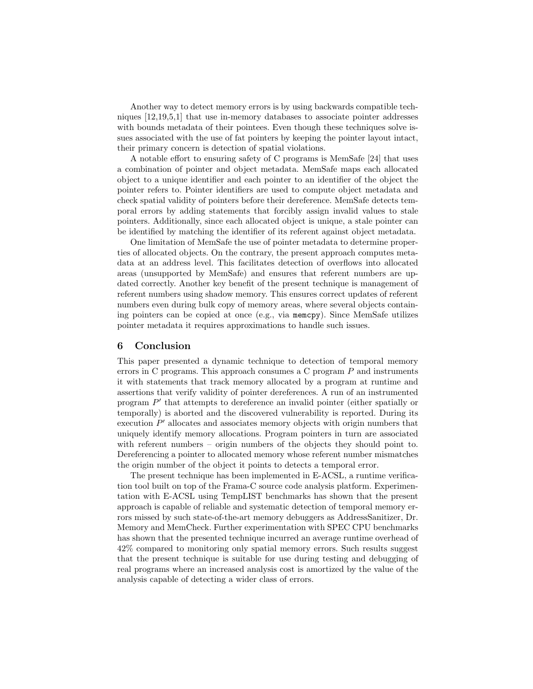Another way to detect memory errors is by using backwards compatible techniques [\[12,](#page-15-12)[19,](#page-16-12)[5](#page-15-13)[,1\]](#page-15-14) that use in-memory databases to associate pointer addresses with bounds metadata of their pointees. Even though these techniques solve issues associated with the use of fat pointers by keeping the pointer layout intact, their primary concern is detection of spatial violations.

A notable effort to ensuring safety of C programs is MemSafe [\[24\]](#page-16-4) that uses a combination of pointer and object metadata. MemSafe maps each allocated object to a unique identifier and each pointer to an identifier of the object the pointer refers to. Pointer identifiers are used to compute object metadata and check spatial validity of pointers before their dereference. MemSafe detects temporal errors by adding statements that forcibly assign invalid values to stale pointers. Additionally, since each allocated object is unique, a stale pointer can be identified by matching the identifier of its referent against object metadata.

One limitation of MemSafe the use of pointer metadata to determine properties of allocated objects. On the contrary, the present approach computes metadata at an address level. This facilitates detection of overflows into allocated areas (unsupported by MemSafe) and ensures that referent numbers are updated correctly. Another key benefit of the present technique is management of referent numbers using shadow memory. This ensures correct updates of referent numbers even during bulk copy of memory areas, where several objects containing pointers can be copied at once (e.g., via memcpy). Since MemSafe utilizes pointer metadata it requires approximations to handle such issues.

### 6 Conclusion

This paper presented a dynamic technique to detection of temporal memory errors in C programs. This approach consumes a C program P and instruments it with statements that track memory allocated by a program at runtime and assertions that verify validity of pointer dereferences. A run of an instrumented program  $P'$  that attempts to dereference an invalid pointer (either spatially or temporally) is aborted and the discovered vulnerability is reported. During its execution  $P'$  allocates and associates memory objects with origin numbers that uniquely identify memory allocations. Program pointers in turn are associated with referent numbers – origin numbers of the objects they should point to. Dereferencing a pointer to allocated memory whose referent number mismatches the origin number of the object it points to detects a temporal error.

The present technique has been implemented in E-ACSL, a runtime verification tool built on top of the Frama-C source code analysis platform. Experimentation with E-ACSL using TempLIST benchmarks has shown that the present approach is capable of reliable and systematic detection of temporal memory errors missed by such state-of-the-art memory debuggers as AddressSanitizer, Dr. Memory and MemCheck. Further experimentation with SPEC CPU benchmarks has shown that the presented technique incurred an average runtime overhead of 42% compared to monitoring only spatial memory errors. Such results suggest that the present technique is suitable for use during testing and debugging of real programs where an increased analysis cost is amortized by the value of the analysis capable of detecting a wider class of errors.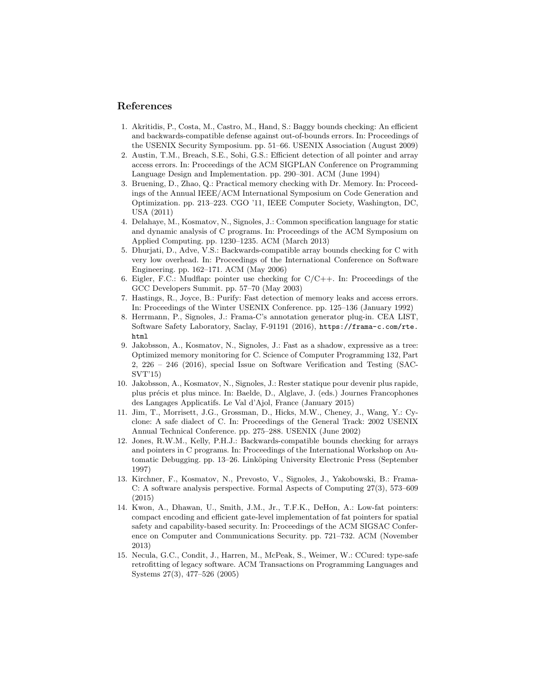### References

- <span id="page-15-14"></span>1. Akritidis, P., Costa, M., Castro, M., Hand, S.: Baggy bounds checking: An efficient and backwards-compatible defense against out-of-bounds errors. In: Proceedings of the USENIX Security Symposium. pp. 51–66. USENIX Association (August 2009)
- <span id="page-15-2"></span>2. Austin, T.M., Breach, S.E., Sohi, G.S.: Efficient detection of all pointer and array access errors. In: Proceedings of the ACM SIGPLAN Conference on Programming Language Design and Implementation. pp. 290–301. ACM (June 1994)
- <span id="page-15-0"></span>3. Bruening, D., Zhao, Q.: Practical memory checking with Dr. Memory. In: Proceedings of the Annual IEEE/ACM International Symposium on Code Generation and Optimization. pp. 213–223. CGO '11, IEEE Computer Society, Washington, DC, USA (2011)
- <span id="page-15-3"></span>4. Delahaye, M., Kosmatov, N., Signoles, J.: Common specification language for static and dynamic analysis of C programs. In: Proceedings of the ACM Symposium on Applied Computing. pp. 1230–1235. ACM (March 2013)
- <span id="page-15-13"></span>5. Dhurjati, D., Adve, V.S.: Backwards-compatible array bounds checking for C with very low overhead. In: Proceedings of the International Conference on Software Engineering. pp. 162–171. ACM (May 2006)
- <span id="page-15-8"></span>6. Eigler, F.C.: Mudflap: pointer use checking for C/C++. In: Proceedings of the GCC Developers Summit. pp. 57–70 (May 2003)
- <span id="page-15-1"></span>7. Hastings, R., Joyce, B.: Purify: Fast detection of memory leaks and access errors. In: Proceedings of the Winter USENIX Conference. pp. 125–136 (January 1992)
- <span id="page-15-5"></span>8. Herrmann, P., Signoles, J.: Frama-C's annotation generator plug-in. CEA LIST, Software Safety Laboratory, Saclay, F-91191 (2016), [https://frama-c.com/rte.](https://frama-c.com/rte.html) [html](https://frama-c.com/rte.html)
- <span id="page-15-6"></span>9. Jakobsson, A., Kosmatov, N., Signoles, J.: Fast as a shadow, expressive as a tree: Optimized memory monitoring for C. Science of Computer Programming 132, Part 2, 226 – 246 (2016), special Issue on Software Verification and Testing (SAC-SVT'15)
- <span id="page-15-7"></span>10. Jakobsson, A., Kosmatov, N., Signoles, J.: Rester statique pour devenir plus rapide, plus pr´ecis et plus mince. In: Baelde, D., Alglave, J. (eds.) Journes Francophones des Langages Applicatifs. Le Val d'Ajol, France (January 2015)
- <span id="page-15-9"></span>11. Jim, T., Morrisett, J.G., Grossman, D., Hicks, M.W., Cheney, J., Wang, Y.: Cyclone: A safe dialect of C. In: Proceedings of the General Track: 2002 USENIX Annual Technical Conference. pp. 275–288. USENIX (June 2002)
- <span id="page-15-12"></span>12. Jones, R.W.M., Kelly, P.H.J.: Backwards-compatible bounds checking for arrays and pointers in C programs. In: Proceedings of the International Workshop on Automatic Debugging. pp. 13–26. Linköping University Electronic Press (September 1997)
- <span id="page-15-4"></span>13. Kirchner, F., Kosmatov, N., Prevosto, V., Signoles, J., Yakobowski, B.: Frama-C: A software analysis perspective. Formal Aspects of Computing 27(3), 573–609 (2015)
- <span id="page-15-11"></span>14. Kwon, A., Dhawan, U., Smith, J.M., Jr., T.F.K., DeHon, A.: Low-fat pointers: compact encoding and efficient gate-level implementation of fat pointers for spatial safety and capability-based security. In: Proceedings of the ACM SIGSAC Conference on Computer and Communications Security. pp. 721–732. ACM (November 2013)
- <span id="page-15-10"></span>15. Necula, G.C., Condit, J., Harren, M., McPeak, S., Weimer, W.: CCured: type-safe retrofitting of legacy software. ACM Transactions on Programming Languages and Systems 27(3), 477–526 (2005)